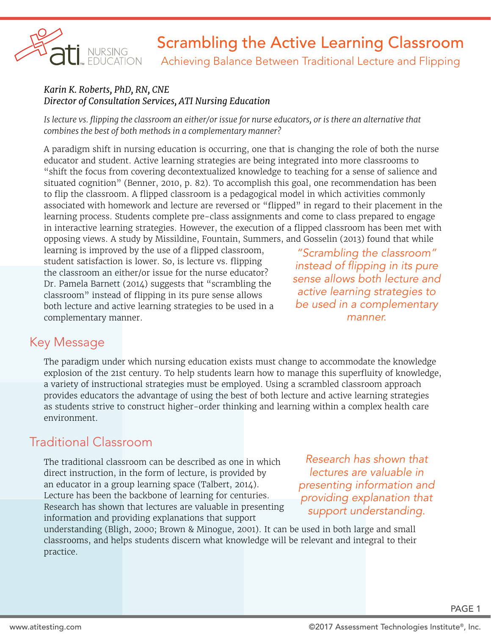

Achieving Balance Between Traditional Lecture and Flipping

#### *Karin K. Roberts, PhD, RN, CNE Director of Consultation Services, ATI Nursing Education*

*Is lecture vs. flipping the classroom an either/or issue for nurse educators, or is there an alternative that combines the best of both methods in a complementary manner?*

A paradigm shift in nursing education is occurring, one that is changing the role of both the nurse educator and student. Active learning strategies are being integrated into more classrooms to "shift the focus from covering decontextualized knowledge to teaching for a sense of salience and situated cognition" (Benner, 2010, p. 82). To accomplish this goal, one recommendation has been to flip the classroom. A flipped classroom is a pedagogical model in which activities commonly associated with homework and lecture are reversed or "flipped" in regard to their placement in the learning process. Students complete pre-class assignments and come to class prepared to engage in interactive learning strategies. However, the execution of a flipped classroom has been met with opposing views. A study by Missildine, Fountain, Summers, and Gosselin (2013) found that while

learning is improved by the use of a flipped classroom, student satisfaction is lower. So, is lecture vs. flipping the classroom an either/or issue for the nurse educator? Dr. Pamela Barnett (2014) suggests that "scrambling the classroom" instead of flipping in its pure sense allows both lecture and active learning strategies to be used in a complementary manner.

*"Scrambling the classroom" instead of flipping in its pure sense allows both lecture and active learning strategies to be used in a complementary manner.*

### Key Message

The paradigm under which nursing education exists must change to accommodate the knowledge explosion of the 21st century. To help students learn how to manage this superfluity of knowledge, a variety of instructional strategies must be employed. Using a scrambled classroom approach provides educators the advantage of using the best of both lecture and active learning strategies as students strive to construct higher-order thinking and learning within a complex health care environment.

### Traditional Classroom

The traditional classroom can be described as one in which direct instruction, in the form of lecture, is provided by an educator in a group learning space (Talbert, 2014). Lecture has been the backbone of learning for centuries. Research has shown that lectures are valuable in presenting information and providing explanations that support

*Research has shown that lectures are valuable in presenting information and providing explanation that support understanding.*

understanding (Bligh, 2000; Brown & Minogue, 2001). It can be used in both large and small classrooms, and helps students discern what knowledge will be relevant and integral to their practice.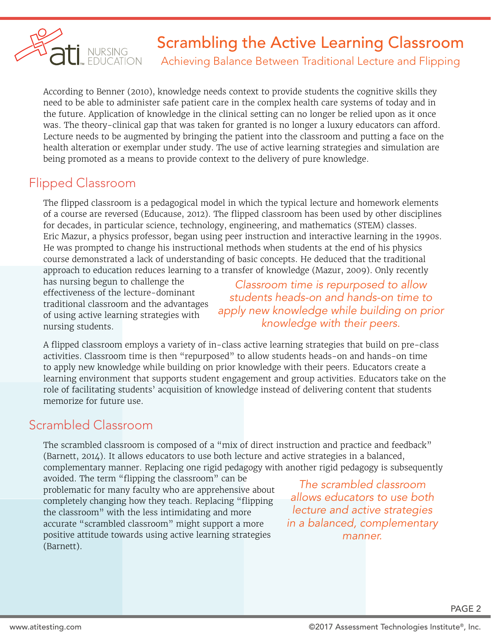

Achieving Balance Between Traditional Lecture and Flipping

According to Benner (2010), knowledge needs context to provide students the cognitive skills they need to be able to administer safe patient care in the complex health care systems of today and in the future. Application of knowledge in the clinical setting can no longer be relied upon as it once was. The theory-clinical gap that was taken for granted is no longer a luxury educators can afford. Lecture needs to be augmented by bringing the patient into the classroom and putting a face on the health alteration or exemplar under study. The use of active learning strategies and simulation are being promoted as a means to provide context to the delivery of pure knowledge.

## Flipped Classroom

The flipped classroom is a pedagogical model in which the typical lecture and homework elements of a course are reversed (Educause, 2012). The flipped classroom has been used by other disciplines for decades, in particular science, technology, engineering, and mathematics (STEM) classes. Eric Mazur, a physics professor, began using peer instruction and interactive learning in the 1990s. He was prompted to change his instructional methods when students at the end of his physics course demonstrated a lack of understanding of basic concepts. He deduced that the traditional approach to education reduces learning to a transfer of knowledge (Mazur, 2009). Only recently

has nursing begun to challenge the effectiveness of the lecture-dominant traditional classroom and the advantages of using active learning strategies with nursing students.

*Classroom time is repurposed to allow students heads-on and hands-on time to apply new knowledge while building on prior knowledge with their peers.*

A flipped classroom employs a variety of in-class active learning strategies that build on pre-class activities. Classroom time is then "repurposed" to allow students heads-on and hands-on time to apply new knowledge while building on prior knowledge with their peers. Educators create a learning environment that supports student engagement and group activities. Educators take on the role of facilitating students' acquisition of knowledge instead of delivering content that students memorize for future use.

## Scrambled Classroom

The scrambled classroom is composed of a "mix of direct instruction and practice and feedback" (Barnett, 2014). It allows educators to use both lecture and active strategies in a balanced, complementary manner. Replacing one rigid pedagogy with another rigid pedagogy is subsequently

avoided. The term "flipping the classroom" can be problematic for many faculty who are apprehensive about completely changing how they teach. Replacing "flipping the classroom" with the less intimidating and more accurate "scrambled classroom" might support a more positive attitude towards using active learning strategies (Barnett).

*The scrambled classroom allows educators to use both lecture and active strategies in a balanced, complementary manner.*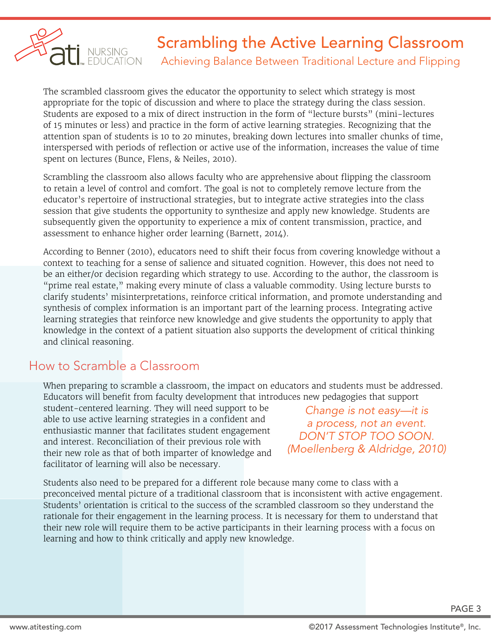

Achieving Balance Between Traditional Lecture and Flipping

The scrambled classroom gives the educator the opportunity to select which strategy is most appropriate for the topic of discussion and where to place the strategy during the class session. Students are exposed to a mix of direct instruction in the form of "lecture bursts" (mini-lectures of 15 minutes or less) and practice in the form of active learning strategies. Recognizing that the attention span of students is 10 to 20 minutes, breaking down lectures into smaller chunks of time, interspersed with periods of reflection or active use of the information, increases the value of time spent on lectures (Bunce, Flens, & Neiles, 2010).

Scrambling the classroom also allows faculty who are apprehensive about flipping the classroom to retain a level of control and comfort. The goal is not to completely remove lecture from the educator's repertoire of instructional strategies, but to integrate active strategies into the class session that give students the opportunity to synthesize and apply new knowledge. Students are subsequently given the opportunity to experience a mix of content transmission, practice, and assessment to enhance higher order learning (Barnett, 2014).

According to Benner (2010), educators need to shift their focus from covering knowledge without a context to teaching for a sense of salience and situated cognition. However, this does not need to be an either/or decision regarding which strategy to use. According to the author, the classroom is "prime real estate," making every minute of class a valuable commodity. Using lecture bursts to clarify students' misinterpretations, reinforce critical information, and promote understanding and synthesis of complex information is an important part of the learning process. Integrating active learning strategies that reinforce new knowledge and give students the opportunity to apply that knowledge in the context of a patient situation also supports the development of critical thinking and clinical reasoning.

## How to Scramble a Classroom

When preparing to scramble a classroom, the impact on educators and students must be addressed. Educators will benefit from faculty development that introduces new pedagogies that support

student-centered learning. They will need support to be able to use active learning strategies in a confident and enthusiastic manner that facilitates student engagement and interest. Reconciliation of their previous role with their new role as that of both imparter of knowledge and facilitator of learning will also be necessary.

*Change is not easy—it is a process, not an event. DON'T STOP TOO SOON. (Moellenberg & Aldridge, 2010)* 

Students also need to be prepared for a different role because many come to class with a preconceived mental picture of a traditional classroom that is inconsistent with active engagement. Students' orientation is critical to the success of the scrambled classroom so they understand the rationale for their engagement in the learning process. It is necessary for them to understand that their new role will require them to be active participants in their learning process with a focus on learning and how to think critically and apply new knowledge.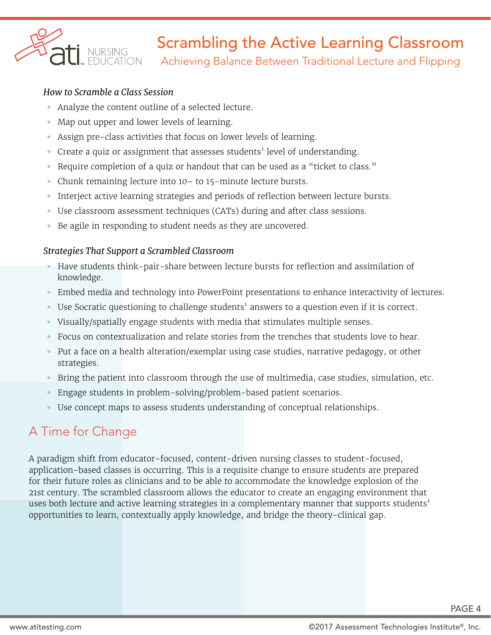

Achieving Balance Between Traditional Lecture and Flipping

#### *How to Scramble a Class Session*

- Analyze the content outline of a selected lecture.
- Map out upper and lower levels of learning.
- Assign pre-class activities that focus on lower levels of learning.
- Create a quiz or assignment that assesses students' level of understanding.
- Require completion of a quiz or handout that can be used as a "ticket to class."
- Chunk remaining lecture into 10– to 15-minute lecture bursts.
- Interject active learning strategies and periods of reflection between lecture bursts.
- Use classroom assessment techniques (CATs) during and after class sessions.
- Be agile in responding to student needs as they are uncovered.

#### *Strategies That Support a Scrambled Classroom*

- Have students think-pair-share between lecture bursts for reflection and assimilation of knowledge.
- Embed media and technology into PowerPoint presentations to enhance interactivity of lectures.
- Use Socratic questioning to challenge students' answers to a question even if it is correct.
- Visually/spatially engage students with media that stimulates multiple senses.
- Focus on contextualization and relate stories from the trenches that students love to hear.
- Put a face on a health alteration/exemplar using case studies, narrative pedagogy, or other strategies.
- Bring the patient into classroom through the use of multimedia, case studies, simulation, etc.
- Engage students in problem-solving/problem-based patient scenarios.
- Use concept maps to assess students understanding of conceptual relationships.

## A Time for Change

A paradigm shift from educator-focused, content-driven nursing classes to student-focused, application-based classes is occurring. This is a requisite change to ensure students are prepared for their future roles as clinicians and to be able to accommodate the knowledge explosion of the 21st century. The scrambled classroom allows the educator to create an engaging environment that uses both lecture and active learning strategies in a complementary manner that supports students' opportunities to learn, contextually apply knowledge, and bridge the theory-clinical gap.